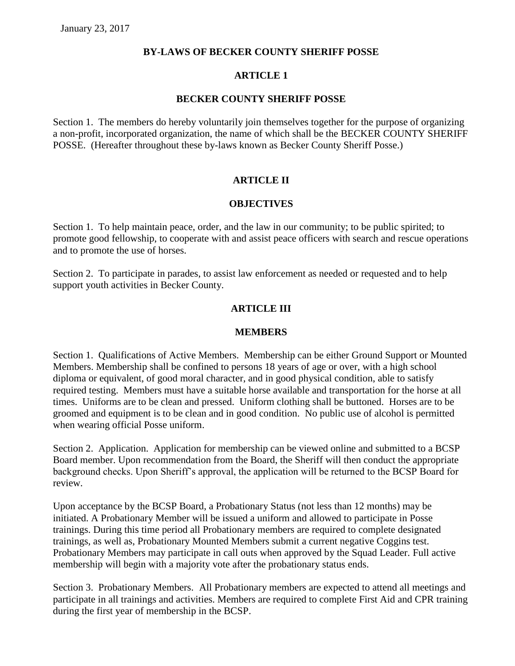### **BY-LAWS OF BECKER COUNTY SHERIFF POSSE**

### **ARTICLE 1**

#### **BECKER COUNTY SHERIFF POSSE**

Section 1. The members do hereby voluntarily join themselves together for the purpose of organizing a non-profit, incorporated organization, the name of which shall be the BECKER COUNTY SHERIFF POSSE. (Hereafter throughout these by-laws known as Becker County Sheriff Posse.)

# **ARTICLE II**

### **OBJECTIVES**

Section 1. To help maintain peace, order, and the law in our community; to be public spirited; to promote good fellowship, to cooperate with and assist peace officers with search and rescue operations and to promote the use of horses.

Section 2. To participate in parades, to assist law enforcement as needed or requested and to help support youth activities in Becker County.

### **ARTICLE III**

#### **MEMBERS**

Section 1. Qualifications of Active Members. Membership can be either Ground Support or Mounted Members. Membership shall be confined to persons 18 years of age or over, with a high school diploma or equivalent, of good moral character, and in good physical condition, able to satisfy required testing. Members must have a suitable horse available and transportation for the horse at all times. Uniforms are to be clean and pressed. Uniform clothing shall be buttoned. Horses are to be groomed and equipment is to be clean and in good condition. No public use of alcohol is permitted when wearing official Posse uniform.

Section 2. Application. Application for membership can be viewed online and submitted to a BCSP Board member. Upon recommendation from the Board, the Sheriff will then conduct the appropriate background checks. Upon Sheriff's approval, the application will be returned to the BCSP Board for review.

Upon acceptance by the BCSP Board, a Probationary Status (not less than 12 months) may be initiated. A Probationary Member will be issued a uniform and allowed to participate in Posse trainings. During this time period all Probationary members are required to complete designated trainings, as well as, Probationary Mounted Members submit a current negative Coggins test. Probationary Members may participate in call outs when approved by the Squad Leader. Full active membership will begin with a majority vote after the probationary status ends.

Section 3. Probationary Members. All Probationary members are expected to attend all meetings and participate in all trainings and activities. Members are required to complete First Aid and CPR training during the first year of membership in the BCSP.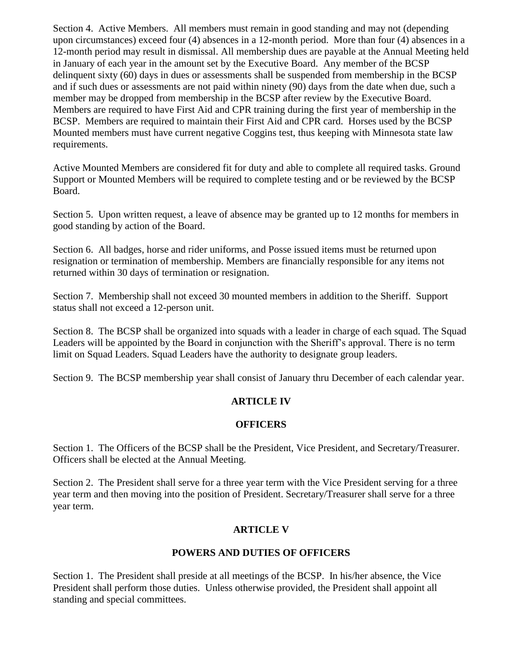Section 4. Active Members. All members must remain in good standing and may not (depending upon circumstances) exceed four (4) absences in a 12-month period. More than four (4) absences in a 12-month period may result in dismissal. All membership dues are payable at the Annual Meeting held in January of each year in the amount set by the Executive Board. Any member of the BCSP delinquent sixty (60) days in dues or assessments shall be suspended from membership in the BCSP and if such dues or assessments are not paid within ninety (90) days from the date when due, such a member may be dropped from membership in the BCSP after review by the Executive Board. Members are required to have First Aid and CPR training during the first year of membership in the BCSP. Members are required to maintain their First Aid and CPR card. Horses used by the BCSP Mounted members must have current negative Coggins test, thus keeping with Minnesota state law requirements.

Active Mounted Members are considered fit for duty and able to complete all required tasks. Ground Support or Mounted Members will be required to complete testing and or be reviewed by the BCSP Board.

Section 5. Upon written request, a leave of absence may be granted up to 12 months for members in good standing by action of the Board.

Section 6. All badges, horse and rider uniforms, and Posse issued items must be returned upon resignation or termination of membership. Members are financially responsible for any items not returned within 30 days of termination or resignation.

Section 7. Membership shall not exceed 30 mounted members in addition to the Sheriff. Support status shall not exceed a 12-person unit.

Section 8. The BCSP shall be organized into squads with a leader in charge of each squad. The Squad Leaders will be appointed by the Board in conjunction with the Sheriff's approval. There is no term limit on Squad Leaders. Squad Leaders have the authority to designate group leaders.

Section 9. The BCSP membership year shall consist of January thru December of each calendar year.

# **ARTICLE IV**

# **OFFICERS**

Section 1. The Officers of the BCSP shall be the President, Vice President, and Secretary/Treasurer. Officers shall be elected at the Annual Meeting.

Section 2. The President shall serve for a three year term with the Vice President serving for a three year term and then moving into the position of President. Secretary/Treasurer shall serve for a three year term.

# **ARTICLE V**

# **POWERS AND DUTIES OF OFFICERS**

Section 1. The President shall preside at all meetings of the BCSP. In his/her absence, the Vice President shall perform those duties. Unless otherwise provided, the President shall appoint all standing and special committees.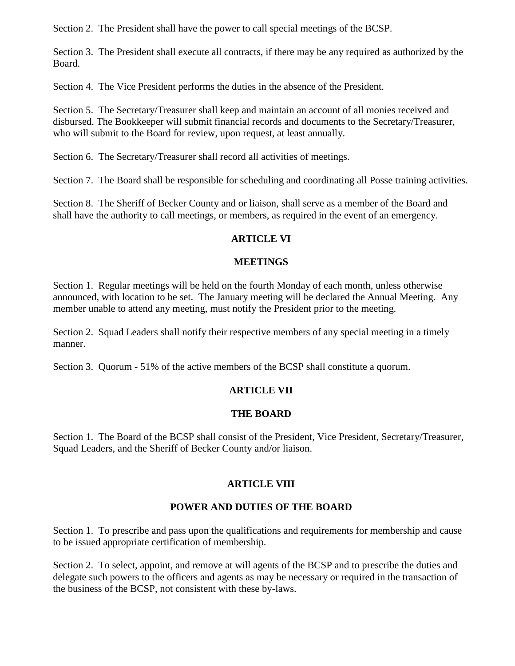Section 2. The President shall have the power to call special meetings of the BCSP.

Section 3. The President shall execute all contracts, if there may be any required as authorized by the Board.

Section 4. The Vice President performs the duties in the absence of the President.

Section 5. The Secretary/Treasurer shall keep and maintain an account of all monies received and disbursed. The Bookkeeper will submit financial records and documents to the Secretary/Treasurer, who will submit to the Board for review, upon request, at least annually.

Section 6. The Secretary/Treasurer shall record all activities of meetings.

Section 7. The Board shall be responsible for scheduling and coordinating all Posse training activities.

Section 8. The Sheriff of Becker County and or liaison, shall serve as a member of the Board and shall have the authority to call meetings, or members, as required in the event of an emergency.

# **ARTICLE VI**

### **MEETINGS**

Section 1. Regular meetings will be held on the fourth Monday of each month, unless otherwise announced, with location to be set. The January meeting will be declared the Annual Meeting. Any member unable to attend any meeting, must notify the President prior to the meeting.

Section 2. Squad Leaders shall notify their respective members of any special meeting in a timely manner.

Section 3. Quorum - 51% of the active members of the BCSP shall constitute a quorum.

# **ARTICLE VII**

# **THE BOARD**

Section 1. The Board of the BCSP shall consist of the President, Vice President, Secretary/Treasurer, Squad Leaders, and the Sheriff of Becker County and/or liaison.

# **ARTICLE VIII**

# **POWER AND DUTIES OF THE BOARD**

Section 1. To prescribe and pass upon the qualifications and requirements for membership and cause to be issued appropriate certification of membership.

Section 2. To select, appoint, and remove at will agents of the BCSP and to prescribe the duties and delegate such powers to the officers and agents as may be necessary or required in the transaction of the business of the BCSP, not consistent with these by-laws.